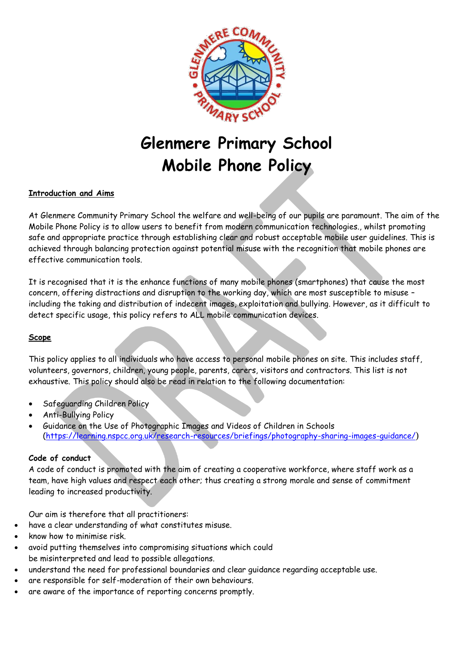

# **Glenmere Primary School Mobile Phone Policy**

# **Introduction and Aims**

At Glenmere Community Primary School the welfare and well-being of our pupils are paramount. The aim of the Mobile Phone Policy is to allow users to benefit from modern communication technologies., whilst promoting safe and appropriate practice through establishing clear and robust acceptable mobile user guidelines. This is achieved through balancing protection against potential misuse with the recognition that mobile phones are effective communication tools.

It is recognised that it is the enhance functions of many mobile phones (smartphones) that cause the most concern, offering distractions and disruption to the working day, which are most susceptible to misuse – including the taking and distribution of indecent images, exploitation and bullying. However, as it difficult to detect specific usage, this policy refers to ALL mobile communication devices.

## **Scope**

This policy applies to all individuals who have access to personal mobile phones on site. This includes staff, volunteers, governors, children, young people, parents, carers, visitors and contractors. This list is not exhaustive. This policy should also be read in relation to the following documentation:

- Safeguarding Children Policy
- Anti-Bullying Policy
- Guidance on the Use of Photographic Images and Videos of Children in Schools [\(https://learning.nspcc.org.uk/research-resources/briefings/photography-sharing-images-guidance/](https://learning.nspcc.org.uk/research-resources/briefings/photography-sharing-images-guidance/))

## **Code of conduct**

A code of conduct is promoted with the aim of creating a cooperative workforce, where staff work as a team, have high values and respect each other; thus creating a strong morale and sense of commitment leading to increased productivity.

Our aim is therefore that all practitioners:

- have a clear understanding of what constitutes misuse.
- know how to minimise risk.
- avoid putting themselves into compromising situations which could be misinterpreted and lead to possible allegations.
- understand the need for professional boundaries and clear guidance regarding acceptable use.
- are responsible for self-moderation of their own behaviours.
- are aware of the importance of reporting concerns promptly.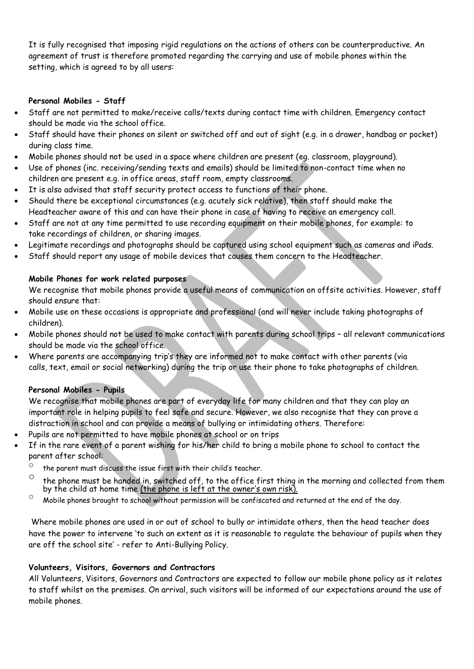It is fully recognised that imposing rigid regulations on the actions of others can be counterproductive. An agreement of trust is therefore promoted regarding the carrying and use of mobile phones within the setting, which is agreed to by all users:

## **Personal Mobiles - Staff**

- Staff are not permitted to make/receive calls/texts during contact time with children. Emergency contact should be made via the school office.
- Staff should have their phones on silent or switched off and out of sight (e.g. in a drawer, handbag or pocket) during class time.
- Mobile phones should not be used in a space where children are present (eg. classroom, playground).
- Use of phones (inc. receiving/sending texts and emails) should be limited to non-contact time when no children are present e.g. in office areas, staff room, empty classrooms.
- It is also advised that staff security protect access to functions of their phone.
- Should there be exceptional circumstances (e.g. acutely sick relative), then staff should make the Headteacher aware of this and can have their phone in case of having to receive an emergency call.
- Staff are not at any time permitted to use recording equipment on their mobile phones, for example: to take recordings of children, or sharing images.
- Legitimate recordings and photographs should be captured using school equipment such as cameras and iPads.
- Staff should report any usage of mobile devices that causes them concern to the Headteacher.

## **Mobile Phones for work related purposes**

We recognise that mobile phones provide a useful means of communication on offsite activities. However, staff should ensure that:

- Mobile use on these occasions is appropriate and professional (and will never include taking photographs of children).
- Mobile phones should not be used to make contact with parents during school trips all relevant communications should be made via the school office.
- Where parents are accompanying trip's they are informed not to make contact with other parents (via calls, text, email or social networking) during the trip or use their phone to take photographs of children.

## **Personal Mobiles - Pupils**

We recognise that mobile phones are part of everyday life for many children and that they can play an important role in helping pupils to feel safe and secure. However, we also recognise that they can prove a distraction in school and can provide a means of bullying or intimidating others. Therefore:

- Pupils are not permitted to have mobile phones at school or on trips
- If in the rare event of a parent wishing for his/her child to bring a mobile phone to school to contact the parent after school:
	- $\degree$  the parent must discuss the issue first with their child's teacher.
	- $\circ$  the phone must be handed in, switched off, to the office first thing in the morning and collected from them by the child at home time (the phone is left at the owner's own risk).
	- $\degree$  Mobile phones brought to school without permission will be confiscated and returned at the end of the day.

Where mobile phones are used in or out of school to bully or intimidate others, then the head teacher does have the power to intervene 'to such an extent as it is reasonable to regulate the behaviour of pupils when they are off the school site' - refer to Anti-Bullying Policy.

## **Volunteers, Visitors, Governors and Contractors**

All Volunteers, Visitors, Governors and Contractors are expected to follow our mobile phone policy as it relates to staff whilst on the premises. On arrival, such visitors will be informed of our expectations around the use of mobile phones.